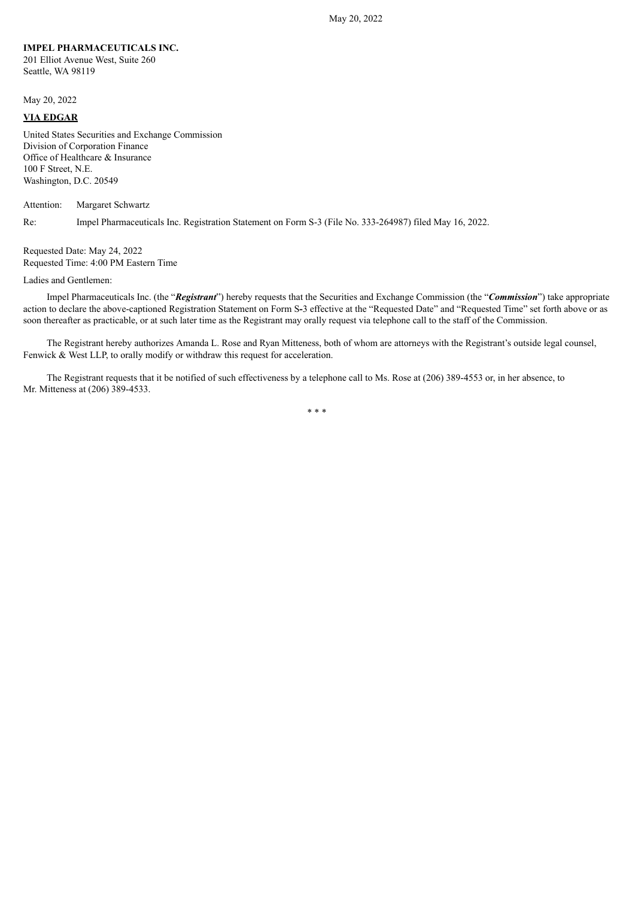## **IMPEL PHARMACEUTICALS INC.**

201 Elliot Avenue West, Suite 260 Seattle, WA 98119

May 20, 2022

## **VIA EDGAR**

United States Securities and Exchange Commission Division of Corporation Finance Office of Healthcare & Insurance 100 F Street, N.E. Washington, D.C. 20549

Attention: Margaret Schwartz

Re: Impel Pharmaceuticals Inc. Registration Statement on Form S-3 (File No. 333-264987) filed May 16, 2022.

Requested Date: May 24, 2022 Requested Time: 4:00 PM Eastern Time

Ladies and Gentlemen:

Impel Pharmaceuticals Inc. (the "*Registrant*") hereby requests that the Securities and Exchange Commission (the "*Commission*") take appropriate action to declare the above-captioned Registration Statement on Form S**-**3 effective at the "Requested Date" and "Requested Time" set forth above or as soon thereafter as practicable, or at such later time as the Registrant may orally request via telephone call to the staff of the Commission.

The Registrant hereby authorizes Amanda L. Rose and Ryan Mitteness, both of whom are attorneys with the Registrant's outside legal counsel, Fenwick & West LLP, to orally modify or withdraw this request for acceleration.

The Registrant requests that it be notified of such effectiveness by a telephone call to Ms. Rose at (206) 389-4553 or, in her absence, to Mr. Mitteness at (206) 389-4533.

\* \* \*